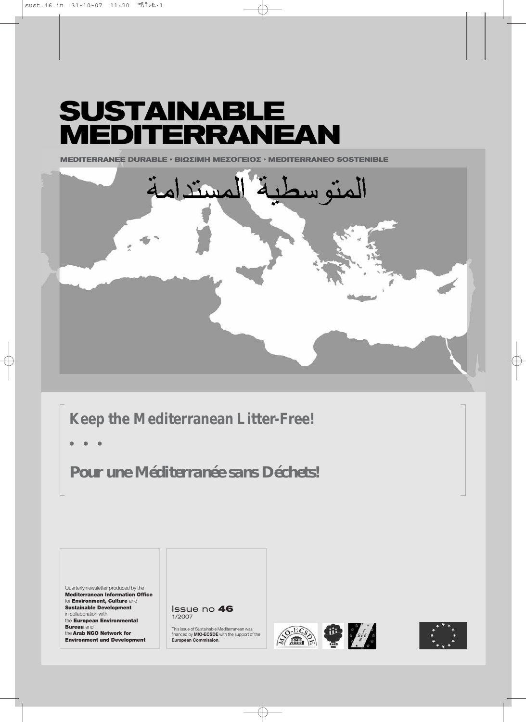# **SUSTAINABLE MEDITERRANEAN**

**MEDITERRANEE DURABLE · ΒΙΩΣΙΜΗ ΜΕΣΟΓΕΙΟΣ · MEDITERRANEO SOSTENIBLE** 



# **Keep the Mediterranean Litter-Free!**

**ñ ñ ñ**

*Pour une Méditerranée sans Déchets!*

Quarterly newsletter produced by the Mediterranean Information Office for **Environment, Culture** and Sustainable Development in collaboration with the European Environmental

**Bureau** and the **Arab NGO Network for** Environment and Development Issue no **46** 1/2007

This issue of Sustainable Mediterranean was financed by **MIO-ECSDE** with the support of the **European Commission**.





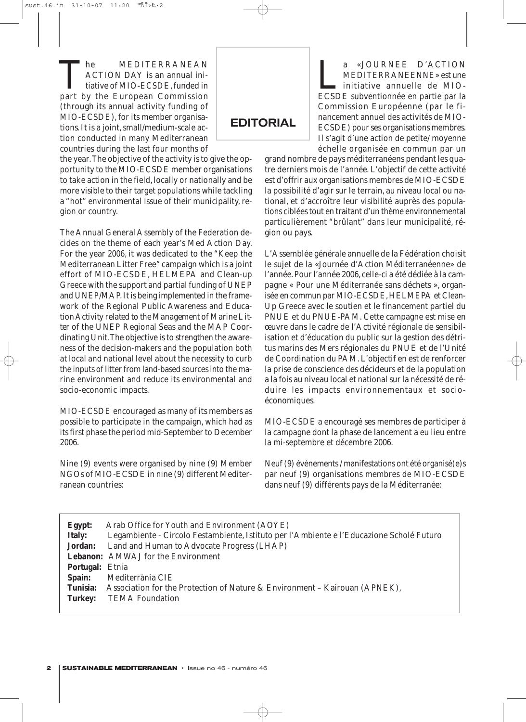The MEDITERRANEAN<br>ACTION DAY is an annual initiative of MIO-ECSDE, funded in<br>part by the European Commission ACTION DAY is an annual initiative of MIO-ECSDE, funded in part by the European Commission (through its annual activity funding of MIO-ECSDE), for its member organisations. It is a joint, small/medium-scale action conducted in many Mediterranean countries during the last four months of

EDITORIAL

a «JOURNEE D'ACTION<br>MEDITERRANEENNE» est une<br>initiative annuelle de MIO-<br>ECSDE subventionnée en partie par la MEDITERRANEENNE» est une initiative annuelle de MIO-ECSDE subventionnée en partie par la Commission Européenne (par le financement annuel des activités de MIO-ECSDE) pour ses organisations membres. Il s'agit d'une action de petite/ moyenne échelle organisée en commun par un

the year.The objective of the activity is to give the opportunity to the MIO-ECSDE member organisations to take action in the field, locally or nationally and be more visible to their target populations while tackling a "hot" environmental issue of their municipality, region or country.

The Annual General Assembly of the Federation decides on the theme of each year's Med Action Day. For the year 2006, it was dedicated to the "Keep the Mediterranean Litter Free" campaign which is a joint effort of MIO-ECSDE, HELMEPA and Clean-up Greece with the support and partial funding of UNEP and UNEP/MAP. It is being implemented in the framework of the *Regional Public Awareness and Education Activity related to the Management of Marine Litter* of the UNEP Regional Seas and the MAP Coordinating Unit.The objective is to strengthen the awareness of the decision-makers and the population both at local and national level about the necessity to curb the inputs of litter from land-based sources into the marine environment and reduce its environmental and socio-economic impacts.

MIO-ECSDE encouraged as many of its members as possible to participate in the campaign, which had as its first phase the period mid-September to December 2006.

Nine (9) events were organised by nine (9) Member NGOs of MIO-ECSDE in nine (9) different Mediterranean countries:

grand nombre de pays méditerranéens pendant les quatre derniers mois de l'année. L'objectif de cette activité est d'offrir aux organisations membres de MIO-ECSDE la possibilité d'agir sur le terrain, au niveau local ou national, et d'accroître leur visibilité auprès des populations ciblées tout en traitant d'un thème environnemental particulièrement "brûlant" dans leur municipalité, région ou pays.

L'Assemblée générale annuelle de la Fédération choisit le sujet de la «Journée d'Action Méditerranéenne» de l'année. Pour l'année 2006, celle-ci a été dédiée à la campagne « Pour une Méditerranée sans déchets », organisée en commun par MIO-ECSDE, HELMEPA et Clean-Up Greece avec le soutien et le financement partiel du PNUE et du PNUE-PAM. Cette campagne est mise en œuvre dans le cadre de l'Activité régionale de sensibilisation et d'éducation du public sur la gestion des détritus marins des Mers régionales du PNUE et de l'Unité de Coordination du PAM. L'objectif en est de renforcer la prise de conscience des décideurs et de la population a la fois au niveau local et national sur la nécessité de réduire les impacts environnementaux et socioéconomiques.

MIO-ECSDE a encouragé ses membres de participer à la campagne dont la phase de lancement a eu lieu entre la mi-septembre et décembre 2006.

Neuf (9) événements / manifestations ont été organisé(e)s par neuf (9) organisations membres de MIO-ECSDE dans neuf (9) différents pays de la Méditerranée:

| Arab Office for Youth and Environment (AOYE)<br>Legambiente - Circolo Festambiente, Istituto per l'Ambiente e l'Educazione Scholé Futuro |
|------------------------------------------------------------------------------------------------------------------------------------------|
| <b>Jordan:</b> Land and Human to Advocate Progress (LHAP)                                                                                |
| <b>Lebanon:</b> AMWAJ for the Environment                                                                                                |
| <b>Portugal: Etnia</b>                                                                                                                   |
| Mediterrània CIE                                                                                                                         |
| Association for the Protection of Nature & Environment – Kairouan (APNEK),                                                               |
| <b>TEMA Foundation</b>                                                                                                                   |
|                                                                                                                                          |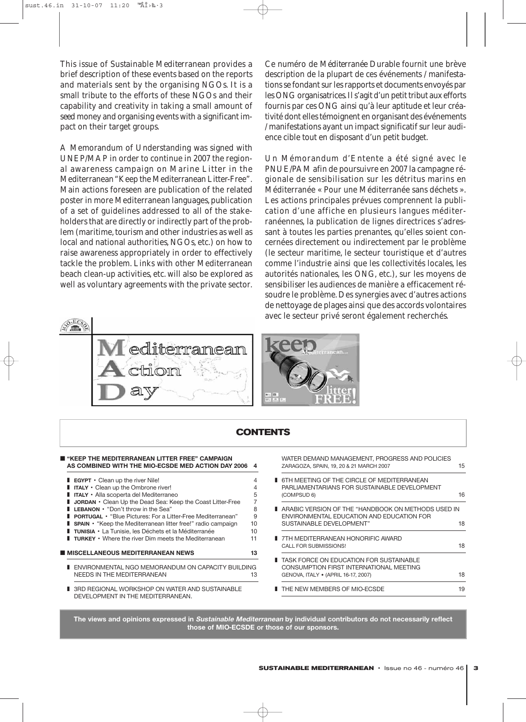This issue of *Sustainable Mediterranean* provides a brief description of these events based on the reports and materials sent by the organising NGOs. It is a small tribute to the efforts of these NGOs and their capability and creativity in taking a small amount of *seed* money and organising events with a significant impact on their target groups.

A Memorandum of Understanding was signed with UNEP/MAP in order to continue in 2007 the regional awareness campaign on Marine Litter in the Mediterranean "Keep the Mediterranean Litter-Free". Main actions foreseen are publication of the related poster in more Mediterranean languages, publication of a set of guidelines addressed to all of the stakeholders that are directly or indirectly part of the problem (maritime, tourism and other industries as well as local and national authorities, NGOs, etc.) on how to raise awareness appropriately in order to effectively tackle the problem. Links with other Mediterranean beach clean-up activities, etc. will also be explored as well as voluntary agreements with the private sector. Ce numéro de *Méditerranée Durable* fournit une brève description de la plupart de ces événements / manifestations se fondant sur les rapports et documents envoyés par les ONG organisatrices.Il s'agit d'un petit tribut aux efforts fournis par ces ONG ainsi qu'à leur aptitude et leur créativité dont elles témoignent en organisant des événements / manifestations ayant un impact significatif sur leur audience cible tout en disposant d'un petit budget.

Un Mémorandum d'Entente a été signé avec le PNUE/PAM afin de poursuivre en 2007 la campagne régionale de sensibilisation sur les détritus marins en Méditerranée « Pour une Méditerranée sans déchets ». Les actions principales prévues comprennent la publication d'une affiche en plusieurs langues méditerranéennes, la publication de lignes directrices s'adressant à toutes les parties prenantes, qu'elles soient concernées directement ou indirectement par le problème (le secteur maritime, le secteur touristique et d'autres comme l'industrie ainsi que les collectivités locales, les autorités nationales, les ONG, etc.), sur les moyens de sensibiliser les audiences de manière a efficacement résoudre le problème. Des synergies avec d'autres actions de nettoyage de plages ainsi que des accords volontaires avec le secteur privé seront également recherchés.





| <b>CONTENTS</b>                                                                                                                                                                                                                                                                                                            |                    |                                                                                                                             |    |
|----------------------------------------------------------------------------------------------------------------------------------------------------------------------------------------------------------------------------------------------------------------------------------------------------------------------------|--------------------|-----------------------------------------------------------------------------------------------------------------------------|----|
| ■ "KEEP THE MEDITERRANEAN LITTER FREE" CAMPAIGN<br>AS COMBINED WITH THE MIO-ECSDE MED ACTION DAY 2006 4                                                                                                                                                                                                                    |                    | WATER DEMAND MANAGEMENT, PROGRESS AND POLICIES<br>ZARAGOZA, SPAIN, 19, 20 & 21 MARCH 2007                                   | 15 |
| <b>EGYPT</b> $\cdot$ Clean up the river Nile!<br>$\blacksquare$ ITALY $\cdot$ Clean up the Ombrone river!<br>TITALY • Alla scoperta del Mediterraneo                                                                                                                                                                       | 4<br>4<br>5        | <b>6TH MEETING OF THE CIRCLE OF MEDITERRANEAN</b><br>PARLIAMENTARIANS FOR SUSTAINABLE DEVELOPMENT<br>(COMPSUD 6)            | 16 |
| <b>JORDAN</b> • Clean Up the Dead Sea: Keep the Coast Litter-Free<br><b>LEBANON</b> • "Don't throw in the Sea"<br><b>PORTUGAL</b> • "Blue Pictures: For a Litter-Free Mediterranean"<br><b>SPAIN</b> • "Keep the Mediterranean litter free!" radio campaign<br><b>TUNISIA</b> • La Tunisie, les Déchets et la Méditerranée | 8<br>9<br>10<br>10 | ARABIC VERSION OF THE "HANDBOOK ON METHODS USED IN<br>ENVIRONMENTAL EDUCATION AND EDUCATION FOR<br>SUSTAINABLE DEVELOPMENT" | 18 |
| <b>TURKEY</b> • Where the river Dim meets the Mediterranean                                                                                                                                                                                                                                                                | 11                 | 7TH MEDITERRANEAN HONORIFIC AWARD<br><b>CALL FOR SUBMISSIONS!</b>                                                           | 18 |
| I MISCELLANEOUS MEDITERRANEAN NEWS<br>■ ENVIRONMENTAL NGO MEMORANDUM ON CAPACITY BUILDING<br>NEEDS IN THE MEDITERRANEAN                                                                                                                                                                                                    | 13<br>13           | TASK FORCE ON EDUCATION FOR SUSTAINABLE<br>CONSUMPTION FIRST INTERNATIONAL MEETING<br>GENOVA, ITALY . (APRIL 16-17, 2007)   | 18 |
| ■ 3RD REGIONAL WORKSHOP ON WATER AND SUSTAINABLE<br>DEVELOPMENT IN THE MEDITERRANEAN.                                                                                                                                                                                                                                      |                    | THE NEW MEMBERS OF MIO-ECSDE                                                                                                | 19 |

**The views and opinions expressed in Sustainable Mediterranean by individual contributors do not necessarily reflect those of MIO-ECSDE or those of our sponsors.**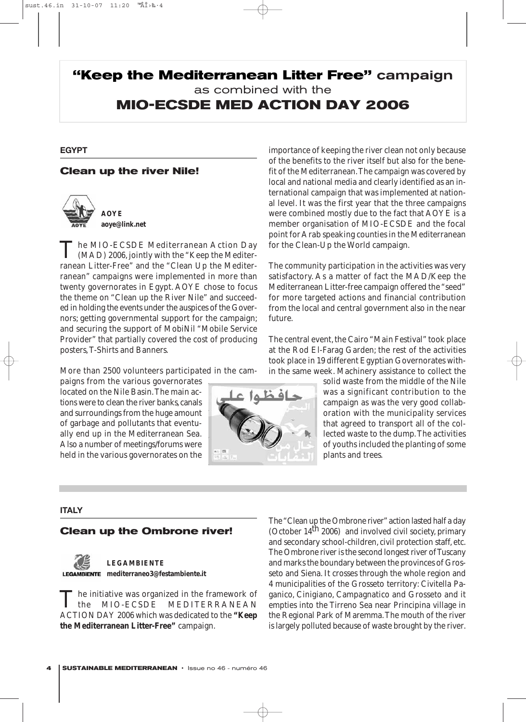## **"Keep the Mediterranean Litter Free"** campaign as combined with the **MIO-ECSDE MED ACTION DAY 2006**

### **EGYPT**

### **Clean up the river Nile!**



The MIO-ECSDE Mediterranean Action Day<br>
(MAD) 2006, jointly with the "Keep the Mediterranean Litter-Free" and the "Clean Up the Mediterranean" campaigns were implemented in more than twenty governorates in Egypt. AOYE chose to focus the theme on "Clean up the River Nile" and succeeded in holding the events under the auspices of the Governors; getting governmental support for the campaign; and securing the support of MobiNil "Mobile Service Provider" that partially covered the cost of producing posters, T-Shirts and Banners.

More than 2500 volunteers participated in the cam-

paigns from the various governorates located on the Nile Basin.The main actions were to clean the river banks, canals and surroundings from the huge amount of garbage and pollutants that eventually end up in the Mediterranean Sea. Also a number of meetings/forums were held in the various governorates on the



importance of keeping the river clean not only because of the benefits to the river itself but also for the benefit of the Mediterranean.The campaign was covered by local and national media and clearly identified as an international campaign that was implemented at national level. It was the first year that the three campaigns were combined mostly due to the fact that AOYE is a member organisation of MIO-ECSDE and the focal point for Arab speaking counties in the Mediterranean for the Clean-Up the World campaign.

The community participation in the activities was very satisfactory. As a matter of fact the MAD/Keep the Mediterranean Litter-free campaign offered the "seed" for more targeted actions and financial contribution from the local and central government also in the near future.

The central event, the Cairo "Main Festival" took place at the Rod El-Farag Garden; the rest of the activities took place in 19 different Egyptian Governorates within the same week. Machinery assistance to collect the

> solid waste from the middle of the Nile was a significant contribution to the campaign as was the very good collaboration with the municipality services that agreed to transport all of the collected waste to the dump.The activities of youths included the planting of some plants and trees.

### **ITALY**

### **Clean up the Ombrone river!**



### **LEGAMBIENTE mediterraneo3@festambiente.it**

The initiative was organized in the framework of<br>the MIO-ECSDE MEDITERRANEAN MIO-ECSDE MEDITERRANEAN ACTION DAY 2006 which was dedicated to the **"Keep the Mediterranean Litter-Free"** campaign.

The "Clean up the Ombrone river"action lasted half a day (October  $14<sup>th</sup> 2006$ ) and involved civil society, primary and secondary school-children, civil protection staff, etc. The Ombrone river is the second longest river of Tuscany and marks the boundary between the provinces of Grosseto and Siena. It crosses through the whole region and 4 municipalities of the Grosseto territory: Civitella Paganico, Cinigiano, Campagnatico and Grosseto and it empties into the Tirreno Sea near Principina village in the Regional Park of Maremma.The mouth of the river is largely polluted because of waste brought by the river.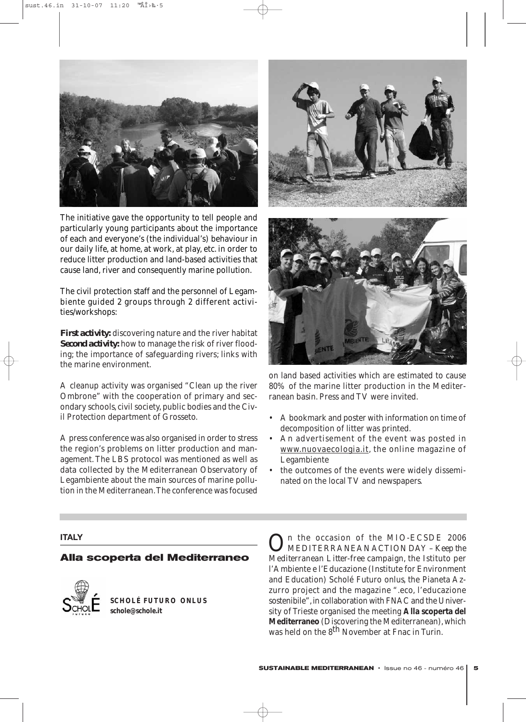

The initiative gave the opportunity to tell people and particularly young participants about the importance of each and everyone's (the individual's) behaviour in our daily life, at home, at work, at play, etc. in order to reduce litter production and land-based activities that cause land, river and consequently marine pollution.

The civil protection staff and the personnel of Legambiente guided 2 groups through 2 different activities/workshops:

*First activity:* discovering nature and the river habitat *Second activity:* how to manage the risk of river flooding; the importance of safeguarding rivers; links with the marine environment.

A cleanup activity was organised "Clean up the river Ombrone" with the cooperation of primary and secondary schools, civil society, public bodies and the Civil Protection department of Grosseto.

A press conference was also organised in order to stress the region's problems on litter production and management. The LBS protocol was mentioned as well as data collected by the Mediterranean Observatory of Legambiente about the main sources of marine pollution in the Mediterranean.The conference was focused





on land based activities which are estimated to cause 80% of the marine litter production in the Mediterranean basin. Press and TV were invited.

- A bookmark and poster with information on time of decomposition of litter was printed.
- An advertisement of the event was posted in www.nuovaecologia.it, the online magazine of Legambiente
- the outcomes of the events were widely disseminated on the local TV and newspapers.

### **ITALY**

### **Alla scoperta del Mediterraneo**



**SCHOLÉ FUTURO ONLUS schole@schole.it** 

On the occasion of the MIO-ECSDE 2006<br>MEDITERRANEAN ACTION DAY – *Keep the Mediterranean Litter-free* campaign, the Istituto per l'Ambiente e l'Educazione (Institute for Environment and Education) Scholé Futuro onlus, the Pianeta Azzurro project and the magazine ".eco, l'educazione sostenibile", in collaboration with FNAC and the University of Trieste organised the meeting **Alla scoperta del Mediterraneo** (Discovering the Mediterranean), which was held on the 8<sup>th</sup> November at Fnac in Turin.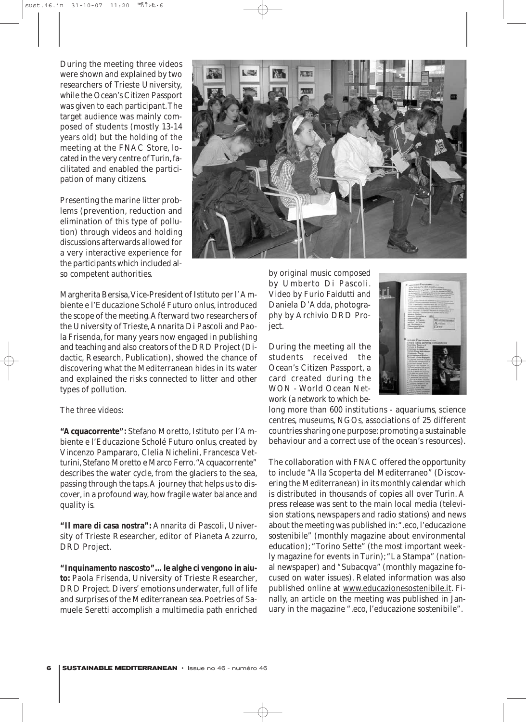During the meeting three videos were shown and explained by two researchers of Trieste University, while the Ocean's Citizen Passport was given to each participant.The target audience was mainly composed of students (mostly 13-14 years old) but the holding of the meeting at the FNAC Store, located in the very centre of Turin,facilitated and enabled the participation of many citizens.

Presenting the marine litter problems (prevention, reduction and elimination of this type of pollution) through videos and holding discussions afterwards allowed for a very interactive experience for the participants which included also competent authorities.



Margherita Bersisa,Vice-President of Istituto per l' Ambiente e l'Educazione Scholé Futuro onlus, introduced the scope of the meeting.Afterward two researchers of the University of Trieste,Annarita Di Pascoli and Paola Frisenda, for many years now engaged in publishing and teaching and also creators of the DRD Project (Didactic, Research, Publication), showed the chance of discovering what the Mediterranean hides in its water and explained the risks connected to litter and other types of pollution.

### The three videos:

**"Acquacorrente":** Stefano Moretto, Istituto per l'Ambiente e l'Educazione Scholé Futuro onlus, created by Vincenzo Pampararo, Clelia Nichelini, Francesca Vetturini, Stefano Moretto e Marco Ferro."Acquacorrente" describes the water cycle, from the glaciers to the sea, passing through the taps.A journey that helps us to discover, in a profound way, how fragile water balance and quality is.

**"Il mare di casa nostra":** Annarita di Pascoli, University of Trieste Researcher, editor of Pianeta Azzurro, DRD Project.

**"Inquinamento nascosto"…le alghe ci vengono in aiuto:** Paola Frisenda, University of Trieste Researcher, DRD Project. Divers' emotions underwater, full of life and surprises of the Mediterranean sea. Poetries of Samuele Seretti accomplish a multimedia path enriched

by original music composed by Umberto Di Pascoli. Video by Furio Faidutti and Daniela D'Adda, photography by Archivio DRD Project.

During the meeting all the students received the Ocean's Citizen Passport, a card created during the WON - World Ocean Network (a network to which be-



long more than 600 institutions - aquariums, science centres, museums, NGOs, associations of 25 different countries sharing one purpose: promoting a sustainable behaviour and a correct use of the ocean's resources).

The collaboration with FNAC offered the opportunity to include "Alla Scoperta del Mediterraneo" (Discovering the Mediterranean) in its *monthly calendar* which is distributed in thousands of copies all over Turin. A *press release* was sent to the main local media (television stations, newspapers and radio stations) and news about the meeting was published in:".eco, l'educazione sostenibile" (monthly magazine about environmental education); "Torino Sette" (the most important weekly magazine for events in Turin);"La Stampa" (national newspaper) and "Subacqva" (monthly magazine focused on water issues). Related information was also published online at www.educazionesostenibile.it. Finally, an article on the meeting was published in January in the magazine ".eco, l'educazione sostenibile".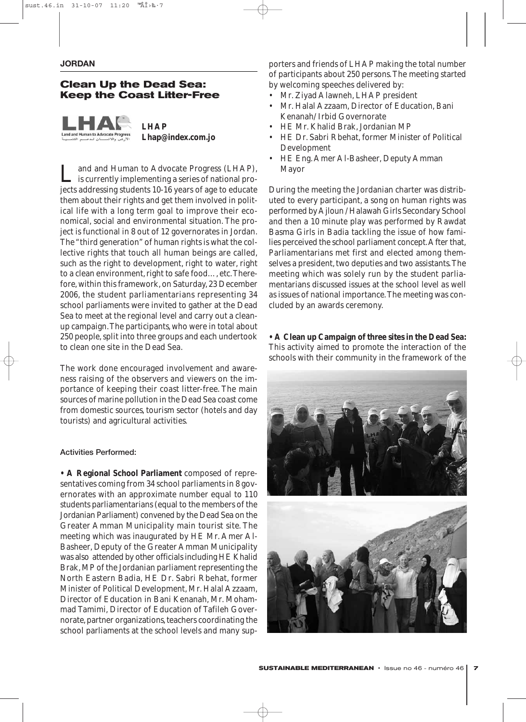### **Clean Up the Dead Sea: Keep the Coast Litter-Free**

**LHAP Lhap@index.com.jo**

Land and Human to Advocate Progress (LHAP), is currently implementing a series of national projects addressing students 10-16 years of age to educate them about their rights and get them involved in political life with a long term goal to improve their economical, social and environmental situation. The project is functional in 8 out of 12 governorates in Jordan. The "third generation" of human rights is what the collective rights that touch all human beings are called, such as the right to development, right to water, right to a clean environment, right to safe food…, etc.Therefore, within this framework, on Saturday, 23 December 2006, the student parliamentarians representing 34 school parliaments were invited to gather at the Dead Sea to meet at the regional level and carry out a cleanup campaign.The participants, who were in total about 250 people, split into three groups and each undertook to clean one site in the Dead Sea.

The work done encouraged involvement and awareness raising of the observers and viewers on the importance of keeping their coast litter-free. The main sources of marine pollution in the Dead Sea coast come from domestic sources, tourism sector (hotels and day tourists) and agricultural activities.

### Activities Performed:

**• A Regional School Parliament** composed of representatives coming from 34 school parliaments in 8 governorates with an approximate number equal to 110 students parliamentarians (equal to the members of the Jordanian Parliament) convened by the Dead Sea on the Greater Amman Municipality main tourist site. The meeting which was inaugurated by HE Mr. Amer Al-Basheer, Deputy of the Greater Amman Municipality was also attended by other officials including HE Khalid Brak, MP of the Jordanian parliament representing the North Eastern Badia, HE Dr. Sabri Rbehat, former Minister of Political Development, Mr. Halal Azzaam, Director of Education in Bani Kenanah, Mr. Mohammad Tamimi, Director of Education of Tafileh Governorate, partner organizations, teachers coordinating the school parliaments at the school levels and many supporters and friends of LHAP making the total number of participants about 250 persons. The meeting started by welcoming speeches delivered by:

- Mr. Ziyad Alawneh, LHAP president
- Mr. Halal Azzaam, Director of Education, Bani Kenanah/ Irbid Governorate
- HE Mr. Khalid Brak, Jordanian MP
- HE Dr. Sabri Rbehat, former Minister of Political Development
- HE Eng. Amer Al-Basheer, Deputy Amman Mayor

During the meeting the Jordanian charter was distributed to every participant, a song on human rights was performed by Ajloun / Halawah Girls Secondary School and then a 10 minute play was performed by Rawdat Basma Girls in Badia tackling the issue of how families perceived the school parliament concept.After that, Parliamentarians met first and elected among themselves a president, two deputies and two assistants.The meeting which was solely run by the student parliamentarians discussed issues at the school level as well as issues of national importance.The meeting was concluded by an awards ceremony.

**• A Clean up Campaign of three sites in the Dead Sea:** This activity aimed to promote the interaction of the schools with their community in the framework of the

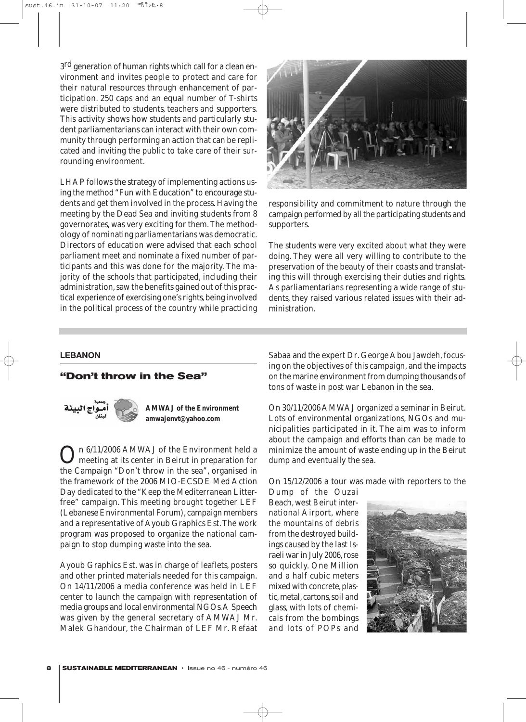3<sup>rd</sup> generation of human rights which call for a clean environment and invites people to protect and care for their natural resources through enhancement of participation. 250 caps and an equal number of T-shirts were distributed to students, teachers and supporters. This activity shows how students and particularly student parliamentarians can interact with their own community through performing an action that can be replicated and inviting the public to take care of their surrounding environment.

LHAP follows the strategy of implementing actions using the method "Fun with Education" to encourage students and get them involved in the process. Having the meeting by the Dead Sea and inviting students from 8 governorates, was very exciting for them.The methodology of nominating parliamentarians was democratic. Directors of education were advised that each school parliament meet and nominate a fixed number of participants and this was done for the majority. The majority of the schools that participated, including their administration, saw the benefits gained out of this practical experience of exercising one's rights, being involved in the political process of the country while practicing



responsibility and commitment to nature through the campaign performed by all the participating students and supporters.

The students were very excited about what they were doing. They were all very willing to contribute to the preservation of the beauty of their coasts and translating this will through exercising their duties and rights. As parliamentarians representing a wide range of students, they raised various related issues with their administration.

### **LEBANON**

### **"Don't throw in the Sea"**



**AMWAJ of the Environment amwajenvt@yahoo.com** 

On 6/11/2006 AMWAJ of the Environment held a<br>meeting at its center in Beirut in preparation for the Campaign "Don't throw in the sea", organised in the framework of the 2006 MIO-ECSDE Med Action Day dedicated to the "Keep the Mediterranean Litterfree" campaign. This meeting brought together LEF (Lebanese Environmental Forum), campaign members and a representative of Ayoub Graphics Est.The work program was proposed to organize the national campaign to stop dumping waste into the sea.

Ayoub Graphics Est. was in charge of leaflets, posters and other printed materials needed for this campaign. On 14/11/2006 a media conference was held in LEF center to launch the campaign with representation of media groups and local environmental NGOs.A Speech was given by the general secretary of AMWAJ Mr. Malek Ghandour, the Chairman of LEF Mr. Refaat

Sabaa and the expert Dr. George Abou Jawdeh, focusing on the objectives of this campaign, and the impacts on the marine environment from dumping thousands of tons of waste in post war Lebanon in the sea.

On 30/11/2006 AMWAJ organized a seminar in Beirut. Lots of environmental organizations, NGOs and municipalities participated in it. The aim was to inform about the campaign and efforts than can be made to minimize the amount of waste ending up in the Beirut dump and eventually the sea.

On 15/12/2006 a tour was made with reporters to the

Dump of the Ouzai Beach, west Beirut international Airport, where the mountains of debris from the destroyed buildings caused by the last Israeli war in July 2006,rose so quickly. One Million and a half cubic meters mixed with concrete, plastic, metal, cartons, soil and glass, with lots of chemicals from the bombings and lots of POPs and

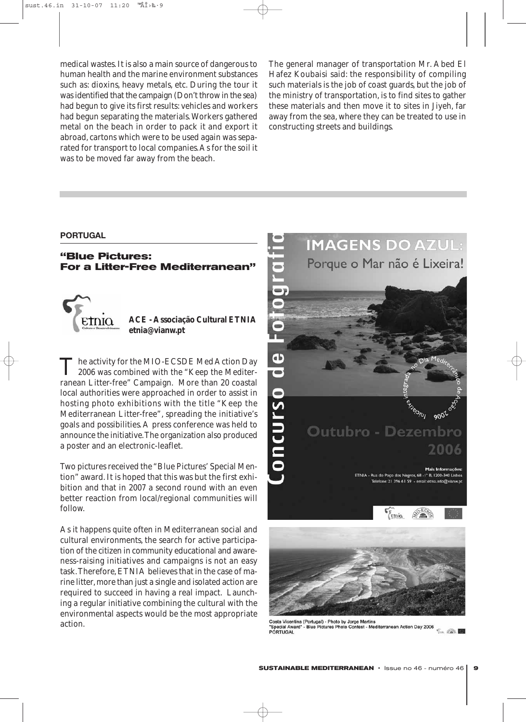medical wastes. It is also a main source of dangerous to human health and the marine environment substances such as: dioxins, heavy metals, etc. During the tour it was identified that the campaign (Don't throw in the sea) had begun to give its first results: vehicles and workers had begun separating the materials. Workers gathered metal on the beach in order to pack it and export it abroad, cartons which were to be used again was separated for transport to local companies.As for the soil it was to be moved far away from the beach.

The general manager of transportation Mr. Abed El Hafez Koubaisi said: the responsibility of compiling such materials is the job of coast guards, but the job of the ministry of transportation, is to find sites to gather these materials and then move it to sites in Jiyeh, far away from the sea, where they can be treated to use in constructing streets and buildings.

### **PORTUGAL**

### **"Blue Pictures: For a Litter-Free Mediterranean"**



The activity for the MIO-ECSDE Med Action Day<br>2006 was combined with the "Keep the Mediterranean Litter-free" Campaign. More than 20 coastal local authorities were approached in order to assist in hosting photo exhibitions with the title "Keep the Mediterranean Litter-free", spreading the initiative's goals and possibilities. A press conference was held to announce the initiative.The organization also produced a poster and an electronic-leaflet.

Two pictures received the "Blue Pictures' Special Mention" award. It is hoped that this was but the first exhibition and that in 2007 a second round with an even better reaction from local/regional communities will follow.

As it happens quite often in Mediterranean social and cultural environments, the search for active participation of the citizen in community educational and awareness-raising initiatives and campaigns is not an easy task.Therefore, ETNIA believes that in the case of marine litter, more than just a single and isolated action are required to succeed in having a real impact. Launching a regular initiative combining the cultural with the environmental aspects would be the most appropriate action.



Costa Vicentina (Portugal) - Photo by Jorge Martins<br>"Special Award" - Blue Pictures Photo Contest - Mediterranean Action Day 2006  $\sqrt{2}$ PORTUGAL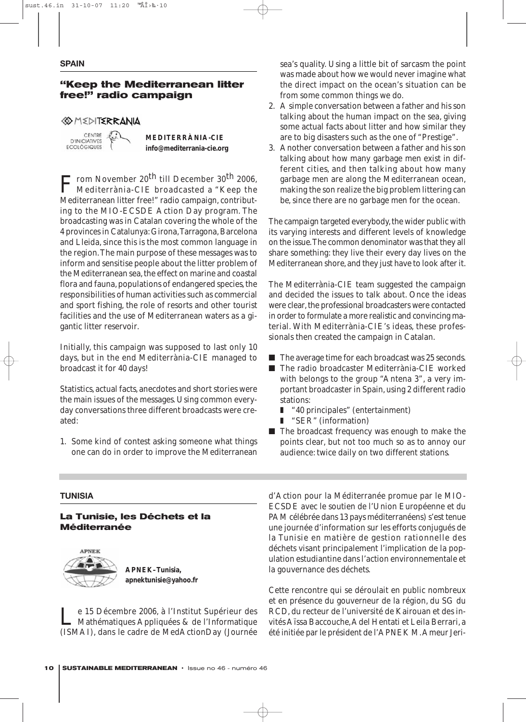#### **SPAIN**

### **"Keep the Mediterranean litter free!" radio campaign**

### *SOMEDITERRANIA*

CENTRE **D'INICIATIVES ECOLOGIQUES** 

**MEDITERRÀNIA-CIE info@mediterrania-cie.org** 

From November 20<sup>th</sup> till December 30<sup>th</sup> 2006, Mediterrània-CIE broadcasted a "Keep the Mediterranean litter free!" radio campaign, contributing to the MIO-ECSDE Action Day program. The broadcasting was in Catalan covering the whole of the 4 provinces in Catalunya: Girona,Tarragona, Barcelona and Lleida, since this is the most common language in the region.The main purpose of these messages was to inform and sensitise people about the litter problem of the Mediterranean sea, the effect on marine and coastal flora and fauna, populations of endangered species, the responsibilities of human activities such as commercial and sport fishing, the role of resorts and other tourist facilities and the use of Mediterranean waters as a gigantic litter reservoir.

Initially, this campaign was supposed to last only 10 days, but in the end Mediterrània-CIE managed to broadcast it for 40 days!

Statistics, actual facts, anecdotes and short stories were the main issues of the messages. Using common everyday conversations three different broadcasts were created:

1. Some kind of contest asking someone what things one can do in order to improve the Mediterranean

**TUNISIA**

### **La Tunisie, les Déchets et la Méditerranée**



**APNEK–Tunisia, apnektunisie@yahoo.fr**

Le 15 Décembre 2006, à l'Institut Supérieur des Mathématiques Appliquées & de l'Informatique (ISMAI), dans le cadre de MedActionDay (Journée sea's quality. Using a little bit of sarcasm the point was made about how we would never imagine what the direct impact on the ocean's situation can be from some common things we do.

- 2. A simple conversation between a father and his son talking about the human impact on the sea, giving some actual facts about litter and how similar they are to big disasters such as the one of "Prestige".
- 3. Another conversation between a father and his son talking about how many garbage men exist in different cities, and then talking about how many garbage men are along the Mediterranean ocean, making the son realize the big problem littering can be, since there are no garbage men for the ocean.

The campaign targeted everybody, the wider public with its varying interests and different levels of knowledge on the issue.The common denominator was that they all share something: they live their every day lives on the Mediterranean shore, and they just have to look after it.

The Mediterrània-CIE team suggested the campaign and decided the issues to talk about. Once the ideas were clear, the professional broadcasters were contacted in order to formulate a more realistic and convincing material. With Mediterrània-CIE's ideas, these professionals then created the campaign in Catalan.

- The average time for each broadcast was 25 seconds.
- The radio broadcaster Mediterrània-CIE worked with belongs to the group "Antena 3", a very important broadcaster in Spain, using 2 different radio stations:
	- "40 principales" (entertainment)
	- ❚ "SER" (information)
- The broadcast frequency was enough to make the points clear, but not too much so as to annoy our audience: twice daily on two different stations.

d'Action pour la Méditerranée promue par le MIO-ECSDE avec le soutien de l'Union Européenne et du PAM célébrée dans 13 pays méditerranéens) s'est tenue une journée d'information sur les efforts conjugués de la Tunisie en matière de gestion rationnelle des déchets visant principalement l'implication de la population estudiantine dans l'action environnementale et la gouvernance des déchets.

Cette rencontre qui se déroulait en public nombreux et en présence du gouverneur de la région, du SG du RCD, du recteur de l'université de Kairouan et des invités Aïssa Baccouche,Adel Hentati et Leila Berrari, a été initiée par le président de l'APNEK M.Ameur Jeri-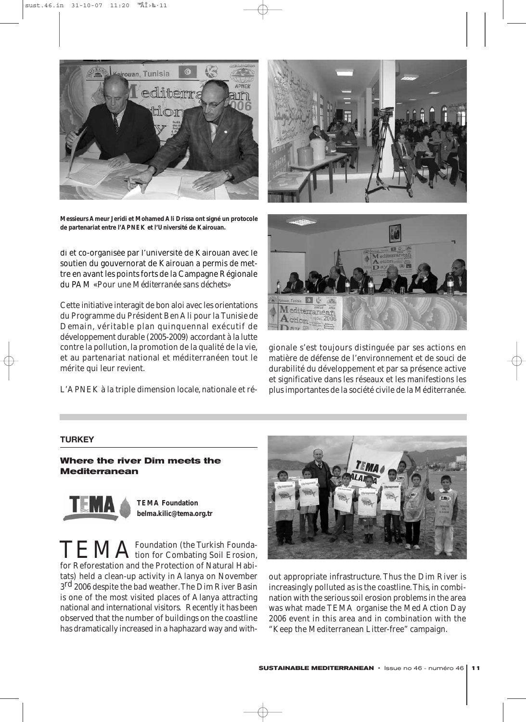

**Messieurs Ameur Jeridi et Mohamed Ali Drissa ont signé un protocole de partenariat entre l'APNEK et l'Université de Kairouan.**

di et co-organisée par l'université de Kairouan avec le soutien du gouvernorat de Kairouan a permis de mettre en avant les points forts de la Campagne Régionale du PAM «*Pour une Méditerranée sans déchets»*

Cette initiative interagit de bon aloi avec les orientations du Programme du Président Ben Ali pour la *Tunisie de Demain*, véritable plan quinquennal exécutif de développement durable (2005-2009) accordant à la lutte contre la pollution, la promotion de la qualité de la vie, et au partenariat national et méditerranéen tout le mérite qui leur revient.

L'APNEK à la triple dimension locale, nationale et ré-





gionale s'est toujours distinguée par ses actions en matière de défense de l'environnement et de souci de durabilité du développement et par sa présence active et significative dans les réseaux et les manifestions les plus importantes de la société civile de la Méditerranée.

### **TURKEY**

**Where the river Dim meets the Mediterranean**



**TEMA Foundation belma.kilic@tema.org.tr** 

TEMA<sup>Foundation</sup> (the Turkish Foundafor Reforestation and the Protection of Natural Habitats) held a clean-up activity in Alanya on November 3<sup>rd</sup> 2006 despite the bad weather. The Dim River Basin is one of the most visited places of Alanya attracting national and international visitors. Recently it has been observed that the number of buildings on the coastline has dramatically increased in a haphazard way and with-



out appropriate infrastructure. Thus the Dim River is increasingly polluted as is the coastline.This, in combination with the serious soil erosion problems in the area was what made TEMA organise the Med Action Day 2006 event in this area and in combination with the "Keep the Mediterranean Litter-free" campaign.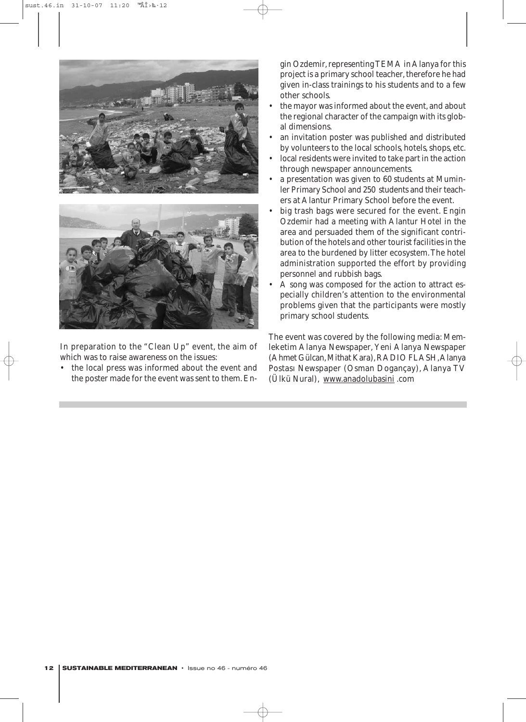



In preparation to the "Clean Up" event, the aim of which was to raise awareness on the issues:

the local press was informed about the event and the poster made for the event was sent to them. En-

gin Ozdemir, representing TEMA in Alanya for this project is a primary school teacher, therefore he had given in-class trainings to his students and to a few other schools.

- the mayor was informed about the event, and about the regional character of the campaign with its global dimensions.
- an invitation poster was published and distributed by volunteers to the local schools, hotels, shops, etc.
- local residents were invited to take part in the action through newspaper announcements.
- a presentation was given to 60 students at Muminler Primary School and 250 students and their teachers at Alantur Primary School before the event.
- big trash bags were secured for the event. Engin Ozdemir had a meeting with Alantur Hotel in the area and persuaded them of the significant contribution of the hotels and other tourist facilities in the area to the burdened by litter ecosystem. The hotel administration supported the effort by providing personnel and rubbish bags.
- A song was composed for the action to attract especially children's attention to the environmental problems given that the participants were mostly primary school students.

The event was covered by the following media: Memleketim Alanya Newspaper, Yeni Alanya Newspaper (Ahmet Gülcan, Mithat Kara), RADIO FLASH, Alanya Postası Newspaper (Osman Dogançay), Alanya TV (Ülkü Nural), www.anadolubasini .com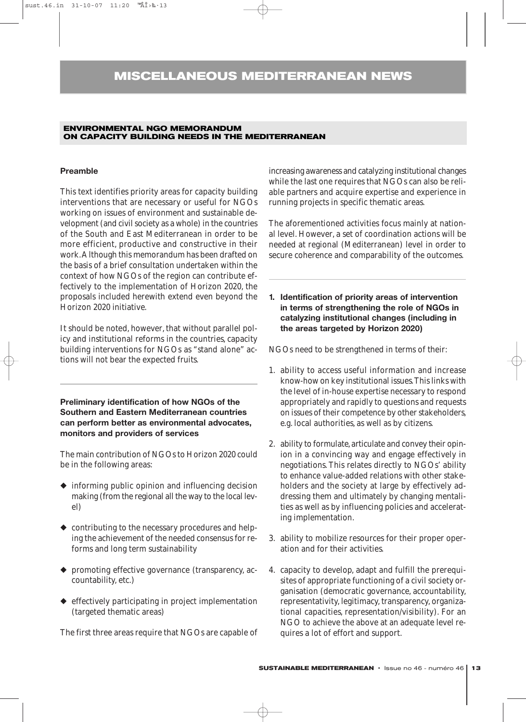### **MISCELLANEOUS MEDITERRANEAN NEWS**

### **ENVIRONMENTAL NGO MEMORANDUM ON CAPACITY BUILDING NEEDS IN THE MEDITERRANEAN**

### **Preamble**

This text identifies priority areas for capacity building interventions that are necessary or useful for NGOs working on issues of environment and sustainable development (and civil society as a whole) in the countries of the South and East Mediterranean in order to be more efficient, productive and constructive in their work.Although this memorandum has been drafted on the basis of a brief consultation undertaken within the context of how NGOs of the region can contribute effectively to the implementation of *Horizon 2020,* the proposals included herewith extend even beyond the *Horizon 2020* initiative.

It should be noted, however, that without parallel policy and institutional reforms in the countries, capacity building interventions for NGOs as "stand alone" actions will not bear the expected fruits.

**Preliminary identification of how NGOs of the Southern and Eastern Mediterranean countries can perform better as environmental advocates, monitors and providers of services**

The main contribution of NGOs to *Horizon 2020* could be in the following areas:

- ◆ informing public opinion and influencing decision making (from the regional all the way to the local level)
- ◆ contributing to the necessary procedures and helping the achievement of the needed consensus for reforms and long term sustainability
- promoting effective governance (transparency, accountability, etc.)
- ◆ effectively participating in project implementation (targeted thematic areas)

The first three areas require that NGOs are capable of

increasing awareness and catalyzing institutional changes while the last one requires that NGOs can also be reliable partners and acquire expertise and experience in running projects in specific thematic areas.

The aforementioned activities focus mainly at national level. However, a set of coordination actions will be needed at regional (Mediterranean) level in order to secure coherence and comparability of the outcomes.

**1. Identification of priority areas of intervention in terms of strengthening the role of NGOs in catalyzing institutional changes (including in the areas targeted by Horizon 2020)**

NGOs need to be strengthened in terms of their:

- 1. ability to access useful information and increase know-how on key institutional issues.This links with the level of in-house expertise necessary to respond appropriately and rapidly to questions and requests on issues of their competence by other stakeholders, e.g. local authorities, as well as by citizens.
- 2. ability to formulate, articulate and convey their opinion in a convincing way and engage effectively in negotiations. This relates directly to NGOs' ability to enhance value-added relations with other stakeholders and the society at large by effectively addressing them and ultimately by changing mentalities as well as by influencing policies and accelerating implementation.
- 3. ability to mobilize resources for their proper operation and for their activities.
- 4. capacity to develop, adapt and fulfill the prerequisites of appropriate functioning of a civil society organisation (democratic governance, accountability, representativity, legitimacy, transparency, organizational capacities, representation/visibility). For an NGO to achieve the above at an adequate level requires a lot of effort and support.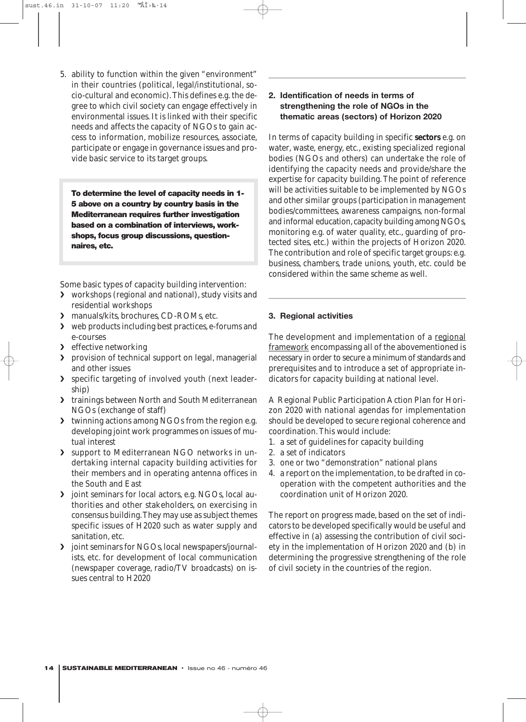5. ability to function within the given "environment" in their countries (political, legal/institutional, socio-cultural and economic).This defines e.g. the degree to which civil society can engage effectively in environmental issues. It is linked with their specific needs and affects the capacity of NGOs to gain access to information, mobilize resources, associate, participate or engage in governance issues and provide basic service to its target groups.

To determine the level of capacity needs in 1- 5 above on a country by country basis in the Mediterranean requires further investigation based on a combination of interviews, workshops, focus group discussions, questionnaires, etc.

Some basic types of capacity building intervention:

- ❯ workshops (regional and national), study visits and residential workshops
- ❯ manuals/kits, brochures, CD-ROMs, etc.
- ❯ web products including best practices, e-forums and e-courses
- > effective networking
- ❯ provision of technical support on legal, managerial and other issues
- ❯ specific targeting of involved youth (next leadership)
- ❯ trainings between North and South Mediterranean NGOs (exchange of staff)
- ❯ twinning actions among NGOs from the region e.g. developing joint work programmes on issues of mutual interest
- support to Mediterranean NGO networks in undertaking internal capacity building activities for their members and in operating antenna offices in the South and East
- ❯ joint seminars for local actors, e.g. NGOs, local authorities and other stakeholders, on exercising in consensus building.They may use as subject themes specific issues of H2020 such as water supply and sanitation, etc.
- ❯ joint seminars for NGOs, local newspapers/journalists, etc. for development of local communication (newspaper coverage, radio/TV broadcasts) on issues central to *H2020*

### **2. Identification of needs in terms of strengthening the role of NGOs in the thematic areas (sectors) of Horizon 2020**

In terms of capacity building in specific **sectors** e.g. on water, waste, energy, etc., existing specialized regional bodies (NGOs and others) can undertake the role of identifying the capacity needs and provide/share the expertise for capacity building. The point of reference will be activities suitable to be implemented by NGOs and other similar groups (participation in management bodies/committees, awareness campaigns, non-formal and informal education, capacity building among NGOs, monitoring e.g. of water quality, etc., guarding of protected sites, etc.) within the projects of *Horizon 2020*. The contribution and role of specific target groups: e.g. business, chambers, trade unions, youth, etc. could be considered within the same scheme as well.

### **3. Regional activities**

The development and implementation of a regional framework encompassing all of the abovementioned is necessary in order to secure a minimum of standards and prerequisites and to introduce a set of appropriate indicators for capacity building at national level.

A Regional Public Participation Action Plan for *Horizon 2020* with national agendas for implementation should be developed to secure regional coherence and coordination. This would include:

- 1. a set of guidelines for capacity building
- 2. a set of indicators
- 3. one or two "demonstration" national plans
- 4. a report on the implementation, to be drafted in cooperation with the competent authorities and the coordination unit of *Horizon 2020*.

The report on progress made, based on the set of indicators to be developed specifically would be useful and effective in (a) assessing the contribution of civil society in the implementation of *Horizon 2020* and (b) in determining the progressive strengthening of the role of civil society in the countries of the region.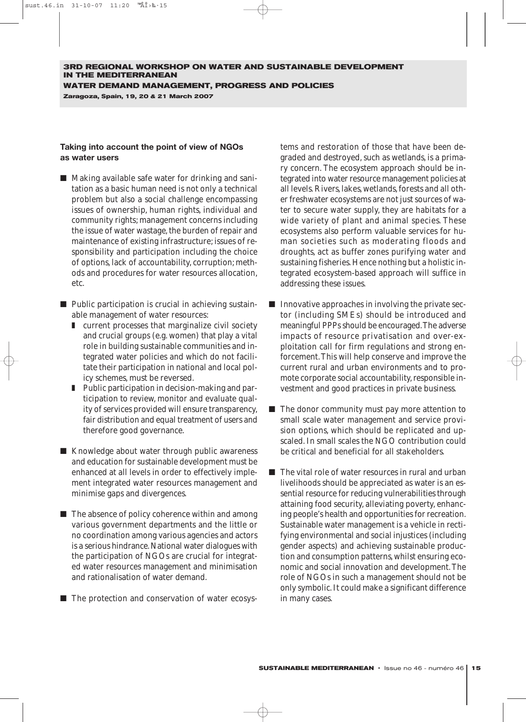**Zaragoza, Spain, 19, 20 & 21 March 2007**

### **Taking into account the point of view of NGOs as water users**

- Making available safe water for drinking and sanitation as a basic human need is not only a technical problem but also a social challenge encompassing issues of ownership, human rights, individual and community rights; management concerns including the issue of water wastage, the burden of repair and maintenance of existing infrastructure; issues of responsibility and participation including the choice of options, lack of accountability, corruption; methods and procedures for water resources allocation, etc.
- Public participation is crucial in achieving sustainable management of water resources:
	- current processes that marginalize civil society and crucial groups (e.g. women) that play a vital role in building sustainable communities and integrated water policies and which do not facilitate their participation in national and local policy schemes, must be reversed.
	- Public participation in decision-making and participation to review, monitor and evaluate quality of services provided will ensure transparency, fair distribution and equal treatment of users and therefore good governance.
- Knowledge about water through public awareness and education for sustainable development must be enhanced at all levels in order to effectively implement integrated water resources management and minimise gaps and divergences.
- The absence of policy coherence within and among various government departments and the little or no coordination among various agencies and actors is a serious hindrance. National water dialogues with the participation of NGOs are crucial for integrated water resources management and minimisation and rationalisation of water demand.
- The protection and conservation of water ecosys-

tems and restoration of those that have been degraded and destroyed, such as wetlands, is a primary concern. The ecosystem approach should be integrated into water resource management policies at all levels. Rivers, lakes, wetlands, forests and all other freshwater ecosystems are not just sources of water to secure water supply, they are habitats for a wide variety of plant and animal species. These ecosystems also perform valuable services for human societies such as moderating floods and droughts, act as buffer zones purifying water and sustaining fisheries. Hence nothing but a holistic integrated ecosystem-based approach will suffice in addressing these issues.

- Innovative approaches in involving the private sector (including SMEs) should be introduced and meaningful PPPs should be encouraged.The adverse impacts of resource privatisation and over-exploitation call for firm regulations and strong enforcement.This will help conserve and improve the current rural and urban environments and to promote corporate social accountability, responsible investment and good practices in private business.
- The donor community must pay more attention to small scale water management and service provision options, which should be replicated and upscaled. In small scales the NGO contribution could be critical and beneficial for all stakeholders.
- The vital role of water resources in rural and urban livelihoods should be appreciated as water is an essential resource for reducing vulnerabilities through attaining food security, alleviating poverty, enhancing people's health and opportunities for recreation. Sustainable water management is a vehicle in rectifying environmental and social injustices (including gender aspects) and achieving sustainable production and consumption patterns, whilst ensuring economic and social innovation and development. The role of NGOs in such a management should not be only symbolic. It could make a significant difference in many cases.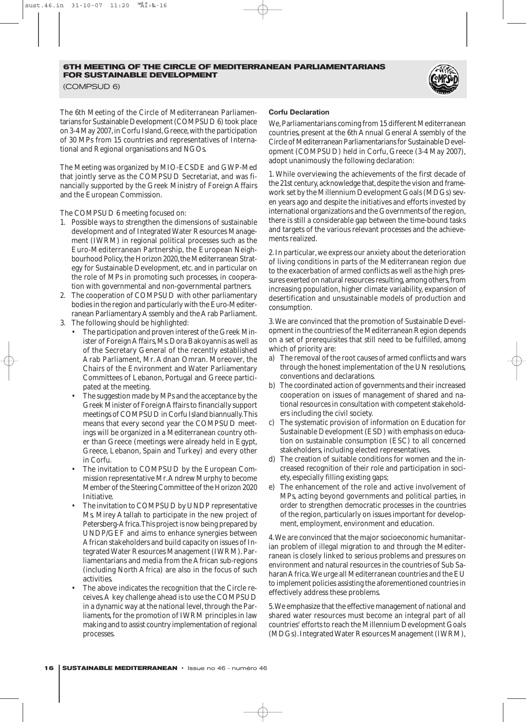(COMPSUD 6)

The 6th Meeting of the Circle of Mediterranean Parliamentarians for Sustainable Development (COMPSUD 6) took place on 3-4 May 2007,in Corfu Island,Greece,with the participation of 30 MPs from 15 countries and representatives of International and Regional organisations and NGOs.

The Meeting was organized by MIO-ECSDE and GWP-Med that jointly serve as the COMPSUD Secretariat, and was financially supported by the Greek Ministry of Foreign Affairs and the European Commission.

The COMPSUD 6 meeting focused on:

- 1. Possible ways to strengthen the dimensions of sustainable development and of Integrated Water Resources Management (IWRM) in regional political processes such as the Euro-Mediterranean Partnership, the European Neighbourhood Policy, the Horizon 2020, the Mediterranean Strategy for Sustainable Development, etc. and in particular on the role of MPs in promoting such processes, in cooperation with governmental and non-governmental partners.
- 2. The cooperation of COMPSUD with other parliamentary bodies in the region and particularly with the Euro-Mediterranean Parliamentary Assembly and the Arab Parliament.
- 3. The following should be highlighted:
	- The participation and proven interest of the Greek Minister of Foreign Affairs, Ms. Dora Bakoyannis as well as of the Secretary General of the recently established Arab Parliament, Mr. Adnan Omran. Moreover, the Chairs of the Environment and Water Parliamentary Committees of Lebanon, Portugal and Greece participated at the meeting.
	- The suggestion made by MPs and the acceptance by the Greek Minister of Foreign Affairs to financially support meetings of COMPSUD in Corfu Island biannually.This means that every second year the COMPSUD meetings will be organized in a Mediterranean country other than Greece (meetings were already held in Egypt, Greece, Lebanon, Spain and Turkey) and every other in Corfu.
	- The invitation to COMPSUD by the European Commission representative Mr.Andrew Murphy to become Member of the Steering Committee of the Horizon 2020 Initiative.
	- The invitation to COMPSUD by UNDP representative Ms. Mirey Atallah to participate in the new project of Petersberg-Africa.This project is now being prepared by UNDP/GEF and aims to enhance synergies between African stakeholders and build capacity on issues of Integrated Water Resources Management (IWRM). Parliamentarians and media from the African sub-regions (including North Africa) are also in the focus of such activities.
	- The above indicates the recognition that the Circle receives.A key challenge ahead is to use the COMPSUD in a dynamic way at the national level, through the Parliaments, for the promotion of IWRM principles in law making and to assist country implementation of regional processes.

#### **Corfu Declaration**

We,Parliamentarians coming from 15 different Mediterranean countries, present at the 6th Annual General Assembly of the Circle of Mediterranean Parliamentarians for Sustainable Development (COMPSUD) held in Corfu, Greece (3-4 May 2007), adopt unanimously the following declaration:

1. While overviewing the achievements of the first decade of the 21st century, acknowledge that, despite the vision and framework set by the Millennium Development Goals (MDGs) seven years ago and despite the initiatives and efforts invested by international organizations and the Governments of the region, there is still a considerable gap between the time-bound tasks and targets of the various relevant processes and the achievements realized.

2.In particular,we express our anxiety about the deterioration of living conditions in parts of the Mediterranean region due to the exacerbation of armed conflicts as well as the high pressures exerted on natural resources resulting, among others, from increasing population, higher climate variability, expansion of desertification and unsustainable models of production and consumption.

3.We are convinced that the promotion of Sustainable Development in the countries of the Mediterranean Region depends on a set of prerequisites that still need to be fulfilled, among which of priority are:

- a) The removal of the root causes of armed conflicts and wars through the honest implementation of the UN resolutions, conventions and declarations.
- b) The coordinated action of governments and their increased cooperation on issues of management of shared and national resources in consultation with competent stakeholders including the civil society.
- c) The systematic provision of information on Education for Sustainable Development (ESD) with emphasis on education on sustainable consumption (ESC) to all concerned stakeholders, including elected representatives.
- d) The creation of suitable conditions for women and the increased recognition of their role and participation in society, especially filling existing gaps;
- e) The enhancement of the role and active involvement of MPs, acting beyond governments and political parties, in order to strengthen democratic processes in the countries of the region, particularly on issues important for development, employment, environment and education.

4.We are convinced that the major socioeconomic humanitarian problem of illegal migration to and through the Mediterranean is closely linked to serious problems and pressures on environment and natural resources in the countries of Sub Saharan Africa.We urge all Mediterranean countries and the EU to implement policies assisting the aforementioned countries in effectively address these problems.

5.We emphasize that the effective management of national and shared water resources must become an integral part of all countries' efforts to reach the Millennium Development Goals (MDGs).Integrated Water Resources Management (IWRM),

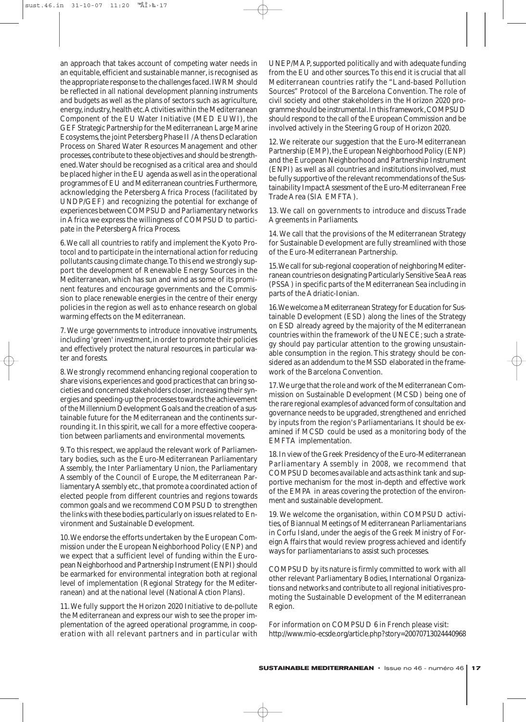an approach that takes account of competing water needs in an equitable, efficient and sustainable manner, is recognised as the appropriate response to the challenges faced.IWRM should be reflected in all national development planning instruments and budgets as well as the plans of sectors such as agriculture, energy, industry, health etc. Activities within the Mediterranean Component of the EU Water Initiative (MED EUWI), the GEF Strategic Partnership for the Mediterranean Large Marine Ecosystems, the joint Petersberg Phase II / Athens Declaration Process on Shared Water Resources Management and other processes,contribute to these objectives and should be strengthened.Water should be recognised as a critical area and should be placed higher in the EU agenda as well as in the operational programmes of EU and Mediterranean countries.Furthermore, acknowledging the Petersberg Africa Process (facilitated by UNDP/GEF) and recognizing the potential for exchange of experiences between COMPSUD and Parliamentary networks in Africa we express the willingness of COMPSUD to participate in the Petersberg Africa Process.

6.We call all countries to ratify and implement the Kyoto Protocol and to participate in the international action for reducing pollutants causing climate change.To this end we strongly support the development of Renewable Energy Sources in the Mediterranean, which has sun and wind as some of its prominent features and encourage governments and the Commission to place renewable energies in the centre of their energy policies in the region as well as to enhance research on global warming effects on the Mediterranean.

7. We urge governments to introduce innovative instruments, including 'green' investment, in order to promote their policies and effectively protect the natural resources, in particular water and forests.

8.We strongly recommend enhancing regional cooperation to share visions, experiences and good practices that can bring societies and concerned stakeholders closer, increasing their synergies and speeding-up the processes towards the achievement of the Millennium Development Goals and the creation of a sustainable future for the Mediterranean and the continents surrounding it. In this spirit, we call for a more effective cooperation between parliaments and environmental movements.

9.To this respect, we applaud the relevant work of Parliamentary bodies, such as the Euro-Mediterranean Parliamentary Assembly, the Inter Parliamentary Union, the Parliamentary Assembly of the Council of Europe, the Mediterranean Parliamentary Assembly etc., that promote a coordinated action of elected people from different countries and regions towards common goals and we recommend COMPSUD to strengthen the links with these bodies, particularly on issues related to Environment and Sustainable Development.

10.We endorse the efforts undertaken by the European Commission under the European Neighborhood Policy (ENP) and we expect that a sufficient level of funding within the European Neighborhood and Partnership Instrument (ENPI) should be earmarked for environmental integration both at regional level of implementation (Regional Strategy for the Mediterranean) and at the national level (National Action Plans).

11. We fully support the Horizon 2020 Initiative to de-pollute the Mediterranean and express our wish to see the proper implementation of the agreed operational programme, in cooperation with all relevant partners and in particular with UNEP/MAP, supported politically and with adequate funding from the EU and other sources.To this end it is crucial that all Mediterranean countries ratify the "Land-based Pollution Sources" Protocol of the Barcelona Convention. The role of civil society and other stakeholders in the Horizon 2020 programme should be instrumental.In this framework,COMPSUD should respond to the call of the European Commission and be involved actively in the Steering Group of Horizon 2020.

12. We reiterate our suggestion that the Euro-Mediterranean Partnership (EMP), the European Neighborhood Policy (ENP) and the European Neighborhood and Partnership Instrument (ENPI) as well as all countries and institutions involved, must be fully supportive of the relevant recommendations of the Sustainability Impact Assessment of the Euro-Mediterranean Free Trade Area (SIA EMFTA).

13. We call on governments to introduce and discuss Trade Agreements in Parliaments.

14. We call that the provisions of the Mediterranean Strategy for Sustainable Development are fully streamlined with those of the Euro-Mediterranean Partnership.

15.We call for sub-regional cooperation of neighboring Mediterranean countries on designating Particularly Sensitive Sea Areas (PSSA) in specific parts of the Mediterranean Sea including in parts of the Adriatic-Ionian.

16.We welcome a Mediterranean Strategy for Education for Sustainable Development (ESD) along the lines of the Strategy on ESD already agreed by the majority of the Mediterranean countries within the framework of the UNECE; such a strategy should pay particular attention to the growing unsustainable consumption in the region. This strategy should be considered as an addendum to the MSSD elaborated in the framework of the Barcelona Convention.

17.We urge that the role and work of the Mediterranean Commission on Sustainable Development (MCSD) being one of the rare regional examples of advanced form of consultation and governance needs to be upgraded, strengthened and enriched by inputs from the region's Parliamentarians. It should be examined if MCSD could be used as a monitoring body of the EMFTA implementation.

18.In view of the Greek Presidency of the Euro-Mediterranean Parliamentary Assembly in 2008, we recommend that COMPSUD becomes available and acts as think tank and supportive mechanism for the most in-depth and effective work of the EMPA in areas covering the protection of the environment and sustainable development.

19. We welcome the organisation, within COMPSUD activities, of Biannual Meetings of Mediterranean Parliamentarians in Corfu Island, under the aegis of the Greek Ministry of Foreign Affairs that would review progress achieved and identify ways for parliamentarians to assist such processes.

COMPSUD by its nature is firmly committed to work with all other relevant Parliamentary Bodies, International Organizations and networks and contribute to all regional initiatives promoting the Sustainable Development of the Mediterranean Region.

For information on COMPSUD 6 in French please visit: http://www.mio-ecsde.org/article.php?story=20070713024440968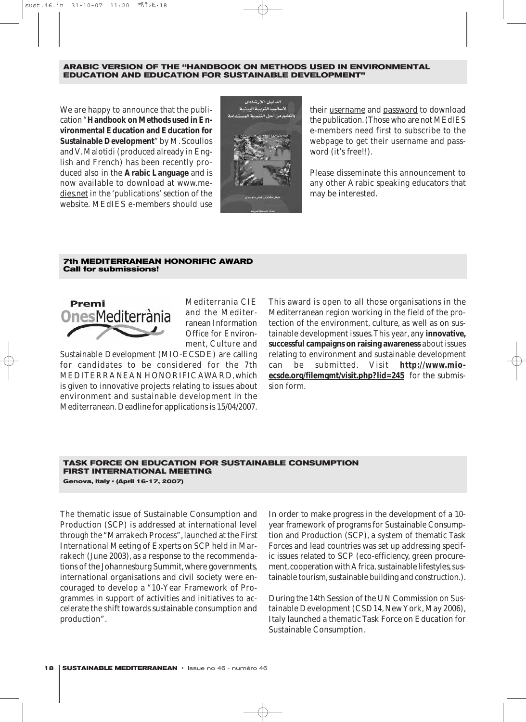#### **ARABIC VERSION OF THE "HANDBOOK ON METHODS USED IN ENVIRONMENTAL EDUCATION AND EDUCATION FOR SUSTAINABLE DEVELOPMENT"**

We are happy to announce that the publication "**Handbook on Methods used in Environmental Education and Education for Sustainable Development**" by M. Scoullos and V. Malotidi (produced already in English and French) has been recently produced also in the **Arabic Language** and is now available to download at www.medies.net in the 'publications' section of the website. MEdIES e-members should use



their username and password to download the publication.(Those who are not MEdIES e-members need first to subscribe to the webpage to get their username and password (it's free!!).

Please disseminate this announcement to any other Arabic speaking educators that may be interested.

#### **7th MEDITERRANEAN HONORIFIC AWARD Call for submissions!**



Mediterrania CIE and the Mediterranean Information Office for Environment, Culture and

Sustainable Development (MIO-ECSDE) are calling for candidates to be considered for the 7th MEDITERRANEAN HONORIFIC AWARD, which is given to innovative projects relating to issues about environment and sustainable development in the Mediterranean. *Deadline for applications is 15/04/2007.*

This award is open to all those organisations in the Mediterranean region working in the field of the protection of the environment, culture, as well as on sustainable development issues.This year, any **innovative, successful campaigns on raising awareness** about issues relating to environment and sustainable development can be submitted. Visit **http://www.mioecsde.org/filemgmt/visit.php?lid=245** for the submission form.

#### **TASK FORCE ON EDUCATION FOR SUSTAINABLE CONSUMPTION FIRST INTERNATIONAL MEETING** Genova, Italy · (April 16-17, 2007)

The thematic issue of Sustainable Consumption and Production (SCP) is addressed at international level through the "Marrakech Process", launched at the First International Meeting of Experts on SCP held in Marrakech (June 2003), as a response to the recommendations of the Johannesburg Summit, where governments, international organisations and civil society were encouraged to develop a "10-Year Framework of Programmes in support of activities and initiatives to accelerate the shift towards sustainable consumption and production".

In order to make progress in the development of a 10 year framework of programs for Sustainable Consumption and Production (SCP), a system of thematic Task Forces and lead countries was set up addressing specific issues related to SCP (eco-efficiency, green procurement, cooperation with Africa, sustainable lifestyles, sustainable tourism, sustainable building and construction.).

During the 14th Session of the UN Commission on Sustainable Development (CSD14, New York, May 2006), Italy launched a thematic Task Force on Education for Sustainable Consumption.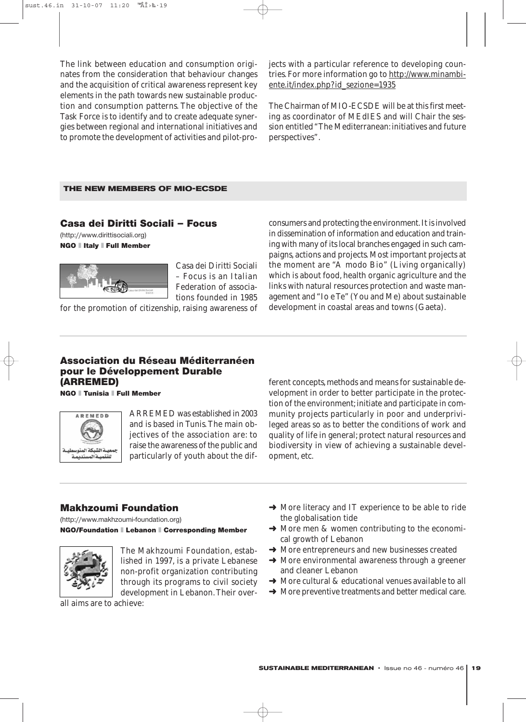The link between education and consumption originates from the consideration that behaviour changes and the acquisition of critical awareness represent key elements in the path towards new sustainable production and consumption patterns. The objective of the Task Force is to identify and to create adequate synergies between regional and international initiatives and to promote the development of activities and pilot-projects with a particular reference to developing countries. For more information go to http://www.minambiente.it/index.php?id\_sezione=1935

The Chairman of MIO-ECSDE will be at this first meeting as coordinator of MEdIES and will Chair the session entitled "The Mediterranean: initiatives and future perspectives".

#### **THE NEW MEMBERS OF MIO-ECSDE**

### Casa dei Diritti Sociali – Focus

(http://www.dirittisociali.org) **NGO I Italy I Full Member** 



Casa dei Diritti Sociali – Focus is an Italian Federation of associations founded in 1985

for the promotion of citizenship, raising awareness of

consumers and protecting the environment.It is involved in dissemination of information and education and training with many of its local branches engaged in such campaigns, actions and projects. Most important projects at the moment are "A modo Bio" (Living organically) which is about food, health organic agriculture and the links with natural resources protection and waste management and "Io e Te" (You and Me) about sustainable development in coastal areas and towns (Gaeta).

### Association du Réseau Méditerranéen pour le Développement Durable (ARREMED)

NGO ❚ Tunisia ❚ Full Member



ARREMED was established in 2003 and is based in Tunis. The main objectives of the association are: to raise the awareness of the public and particularly of youth about the different concepts, methods and means for sustainable development in order to better participate in the protection of the environment; initiate and participate in community projects particularly in poor and underprivileged areas so as to better the conditions of work and quality of life in general; protect natural resources and biodiversity in view of achieving a sustainable development, etc.

### Makhzoumi Foundation

(http://www.makhzoumi-foundation.org) NGO/Foundation ❚ Lebanon ❚ Corresponding Member



The Makhzoumi Foundation, established in 1997, is a private Lebanese non-profit organization contributing through its programs to civil society development in Lebanon. Their over-

all aims are to achieve:

- ➜ More literacy and IT experience to be able to ride the globalisation tide
- $\rightarrow$  More men & women contributing to the economical growth of Lebanon
- **→** More entrepreneurs and new businesses created
- **→ More environmental awareness through a greener** and cleaner Lebanon
- **→** More cultural & educational venues available to all
- $\rightarrow$  More preventive treatments and better medical care.